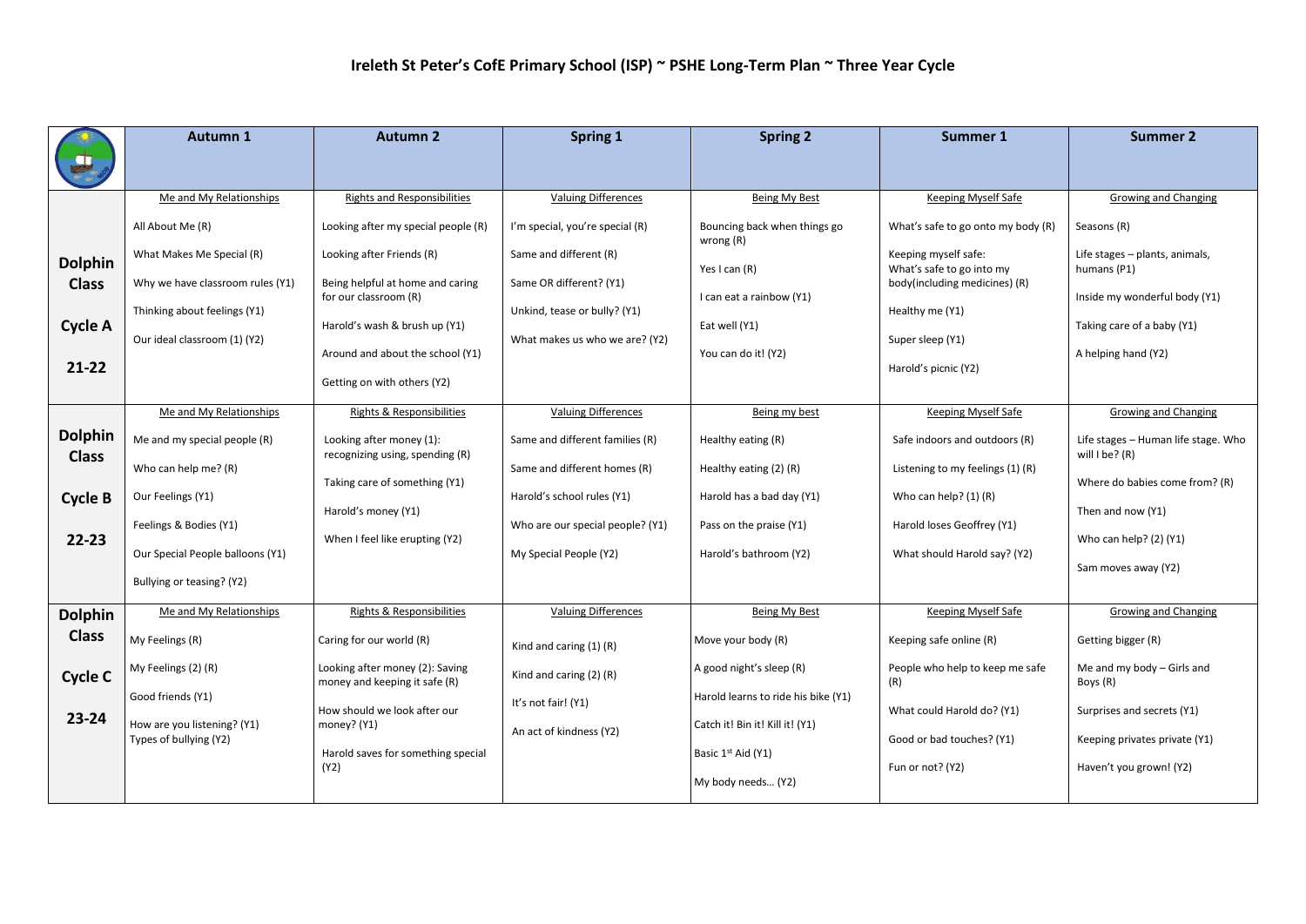|                                | <b>Autumn 1</b>                                       | <b>Autumn 2</b>                                                  | <b>Spring 1</b>                  | <b>Spring 2</b>                             | Summer 1                                          | <b>Summer 2</b>                                           |
|--------------------------------|-------------------------------------------------------|------------------------------------------------------------------|----------------------------------|---------------------------------------------|---------------------------------------------------|-----------------------------------------------------------|
| u                              |                                                       |                                                                  |                                  |                                             |                                                   |                                                           |
|                                | Me and My Relationships                               | <b>Rights and Responsibilities</b>                               | <b>Valuing Differences</b>       | Being My Best                               | Keeping Myself Safe                               | Growing and Changing                                      |
|                                | All About Me (R)                                      | Looking after my special people (R)                              | I'm special, you're special (R)  | Bouncing back when things go<br>wrong $(R)$ | What's safe to go onto my body (R)                | Seasons (R)                                               |
| <b>Dolphin</b>                 | What Makes Me Special (R)                             | Looking after Friends (R)                                        | Same and different (R)           | Yes I can (R)                               | Keeping myself safe:<br>What's safe to go into my | Life stages - plants, animals,<br>humans (P1)             |
| <b>Class</b>                   | Why we have classroom rules (Y1)                      | Being helpful at home and caring<br>for our classroom (R)        | Same OR different? (Y1)          | I can eat a rainbow (Y1)                    | body(including medicines) (R)                     | Inside my wonderful body (Y1)                             |
| <b>Cycle A</b>                 | Thinking about feelings (Y1)                          | Harold's wash & brush up (Y1)                                    | Unkind, tease or bully? (Y1)     | Eat well (Y1)                               | Healthy me (Y1)                                   | Taking care of a baby (Y1)                                |
| $21 - 22$                      | Our ideal classroom (1) (Y2)                          | Around and about the school (Y1)                                 | What makes us who we are? (Y2)   | You can do it! (Y2)                         | Super sleep (Y1)<br>Harold's picnic (Y2)          | A helping hand (Y2)                                       |
|                                |                                                       | Getting on with others (Y2)                                      |                                  |                                             |                                                   |                                                           |
|                                | Me and My Relationships                               | Rights & Responsibilities                                        | <b>Valuing Differences</b>       | Being my best                               | Keeping Myself Safe                               | Growing and Changing                                      |
| <b>Dolphin</b><br><b>Class</b> | Me and my special people (R)                          | Looking after money (1):<br>recognizing using, spending (R)      | Same and different families (R)  | Healthy eating (R)                          | Safe indoors and outdoors (R)                     | Life stages - Human life stage. Who<br>will $l$ be? $(R)$ |
|                                | Who can help me? (R)                                  | Taking care of something (Y1)                                    | Same and different homes (R)     | Healthy eating (2) (R)                      | Listening to my feelings (1) (R)                  | Where do babies come from? (R)                            |
| <b>Cycle B</b>                 | Our Feelings (Y1)                                     | Harold's money (Y1)                                              | Harold's school rules (Y1)       | Harold has a bad day (Y1)                   | Who can help? $(1)$ $(R)$                         | Then and now (Y1)                                         |
| $22 - 23$                      | Feelings & Bodies (Y1)                                | When I feel like erupting (Y2)                                   | Who are our special people? (Y1) | Pass on the praise (Y1)                     | Harold loses Geoffrey (Y1)                        | Who can help? (2) (Y1)                                    |
|                                | Our Special People balloons (Y1)                      |                                                                  | My Special People (Y2)           | Harold's bathroom (Y2)                      | What should Harold say? (Y2)                      | Sam moves away (Y2)                                       |
|                                | Bullying or teasing? (Y2)                             |                                                                  |                                  |                                             |                                                   |                                                           |
| <b>Dolphin</b>                 | Me and My Relationships                               | Rights & Responsibilities                                        | <b>Valuing Differences</b>       | Being My Best                               | Keeping Myself Safe                               | Growing and Changing                                      |
| <b>Class</b>                   | My Feelings (R)                                       | Caring for our world (R)                                         | Kind and caring (1) (R)          | Move your body (R)                          | Keeping safe online (R)                           | Getting bigger (R)                                        |
| Cycle C                        | My Feelings (2) (R)                                   | Looking after money (2): Saving<br>money and keeping it safe (R) | Kind and caring (2) (R)          | A good night's sleep (R)                    | People who help to keep me safe<br>(R)            | Me and my body - Girls and<br>Boys (R)                    |
| 23-24                          | Good friends (Y1)                                     | How should we look after our                                     | It's not fair! (Y1)              | Harold learns to ride his bike (Y1)         | What could Harold do? (Y1)                        | Surprises and secrets (Y1)                                |
|                                | How are you listening? (Y1)<br>Types of bullying (Y2) | money? (Y1)                                                      | An act of kindness (Y2)          | Catch it! Bin it! Kill it! (Y1)             | Good or bad touches? (Y1)                         | Keeping privates private (Y1)                             |
|                                |                                                       | Harold saves for something special<br>(Y2)                       |                                  | Basic 1st Aid (Y1)<br>My body needs (Y2)    | Fun or not? (Y2)                                  | Haven't you grown! (Y2)                                   |
|                                |                                                       |                                                                  |                                  |                                             |                                                   |                                                           |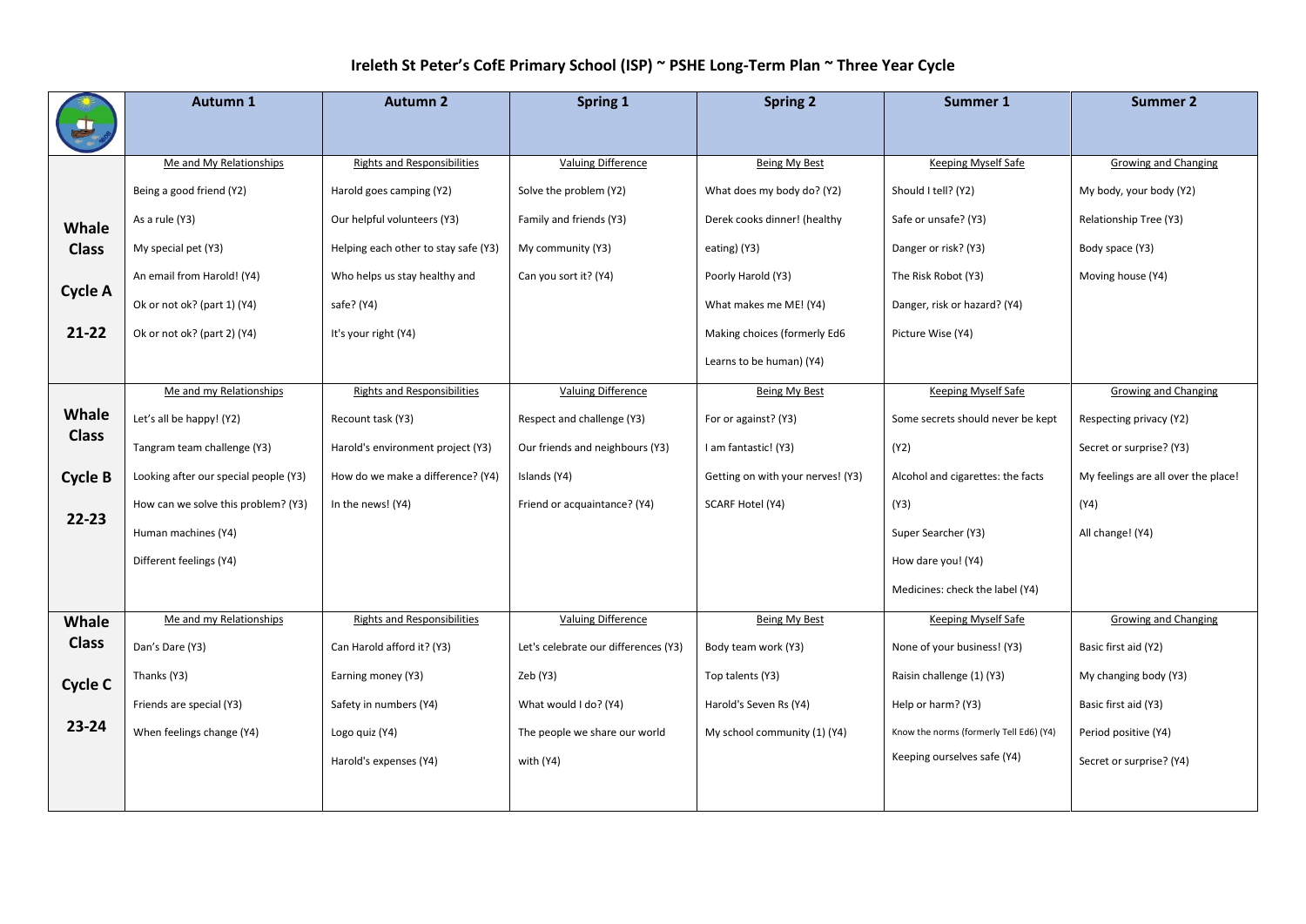## **Ireleth St Peter's CofE Primary School (ISP) ~ PSHE Long-Term Plan ~ Three Year Cycle**

|                | Autumn 1                              | <b>Autumn 2</b>                      | <b>Spring 1</b>                      | <b>Spring 2</b>                   | Summer 1                                | <b>Summer 2</b>                     |
|----------------|---------------------------------------|--------------------------------------|--------------------------------------|-----------------------------------|-----------------------------------------|-------------------------------------|
| ¥              |                                       |                                      |                                      |                                   |                                         |                                     |
|                | Me and My Relationships               | <b>Rights and Responsibilities</b>   | <b>Valuing Difference</b>            | <b>Being My Best</b>              | <b>Keeping Myself Safe</b>              | <b>Growing and Changing</b>         |
|                | Being a good friend (Y2)              | Harold goes camping (Y2)             | Solve the problem (Y2)               | What does my body do? (Y2)        | Should I tell? (Y2)                     | My body, your body (Y2)             |
|                | As a rule (Y3)                        | Our helpful volunteers (Y3)          | Family and friends (Y3)              | Derek cooks dinner! (healthy      | Safe or unsafe? (Y3)                    | Relationship Tree (Y3)              |
| Whale          |                                       |                                      |                                      |                                   |                                         |                                     |
| <b>Class</b>   | My special pet (Y3)                   | Helping each other to stay safe (Y3) | My community (Y3)                    | eating) (Y3)                      | Danger or risk? (Y3)                    | Body space (Y3)                     |
| <b>Cycle A</b> | An email from Harold! (Y4)            | Who helps us stay healthy and        | Can you sort it? (Y4)                | Poorly Harold (Y3)                | The Risk Robot (Y3)                     | Moving house (Y4)                   |
|                | Ok or not ok? (part 1) (Y4)           | safe? (Y4)                           |                                      | What makes me ME! (Y4)            | Danger, risk or hazard? (Y4)            |                                     |
| $21 - 22$      | Ok or not ok? (part 2) (Y4)           | It's your right (Y4)                 |                                      | Making choices (formerly Ed6      | Picture Wise (Y4)                       |                                     |
|                |                                       |                                      |                                      | Learns to be human) (Y4)          |                                         |                                     |
|                | Me and my Relationships               | <b>Rights and Responsibilities</b>   | <b>Valuing Difference</b>            | Being My Best                     | Keeping Myself Safe                     | Growing and Changing                |
| Whale          | Let's all be happy! (Y2)              | Recount task (Y3)                    | Respect and challenge (Y3)           | For or against? (Y3)              | Some secrets should never be kept       | Respecting privacy (Y2)             |
| <b>Class</b>   | Tangram team challenge (Y3)           | Harold's environment project (Y3)    | Our friends and neighbours (Y3)      | I am fantastic! (Y3)              | (Y2)                                    | Secret or surprise? (Y3)            |
| <b>Cycle B</b> | Looking after our special people (Y3) | How do we make a difference? (Y4)    | Islands (Y4)                         | Getting on with your nerves! (Y3) | Alcohol and cigarettes: the facts       | My feelings are all over the place! |
|                | How can we solve this problem? (Y3)   | In the news! (Y4)                    | Friend or acquaintance? (Y4)         | SCARF Hotel (Y4)                  | (Y3)                                    | (Y4)                                |
| $22 - 23$      | Human machines (Y4)                   |                                      |                                      |                                   | Super Searcher (Y3)                     | All change! (Y4)                    |
|                | Different feelings (Y4)               |                                      |                                      |                                   | How dare you! (Y4)                      |                                     |
|                |                                       |                                      |                                      |                                   | Medicines: check the label (Y4)         |                                     |
| Whale          | Me and my Relationships               | <b>Rights and Responsibilities</b>   | <b>Valuing Difference</b>            | <b>Being My Best</b>              | <b>Keeping Myself Safe</b>              | <b>Growing and Changing</b>         |
| <b>Class</b>   | Dan's Dare (Y3)                       | Can Harold afford it? (Y3)           | Let's celebrate our differences (Y3) | Body team work (Y3)               | None of your business! (Y3)             | Basic first aid (Y2)                |
| Cycle C        | Thanks (Y3)                           | Earning money (Y3)                   | Zeb (Y3)                             | Top talents (Y3)                  | Raisin challenge (1) (Y3)               | My changing body (Y3)               |
|                | Friends are special (Y3)              | Safety in numbers (Y4)               | What would I do? (Y4)                | Harold's Seven Rs (Y4)            | Help or harm? (Y3)                      | Basic first aid (Y3)                |
| $23 - 24$      | When feelings change (Y4)             | Logo quiz (Y4)                       | The people we share our world        | My school community (1) (Y4)      | Know the norms (formerly Tell Ed6) (Y4) | Period positive (Y4)                |
|                |                                       | Harold's expenses (Y4)               | with (Y4)                            |                                   | Keeping ourselves safe (Y4)             | Secret or surprise? (Y4)            |
|                |                                       |                                      |                                      |                                   |                                         |                                     |
|                |                                       |                                      |                                      |                                   |                                         |                                     |